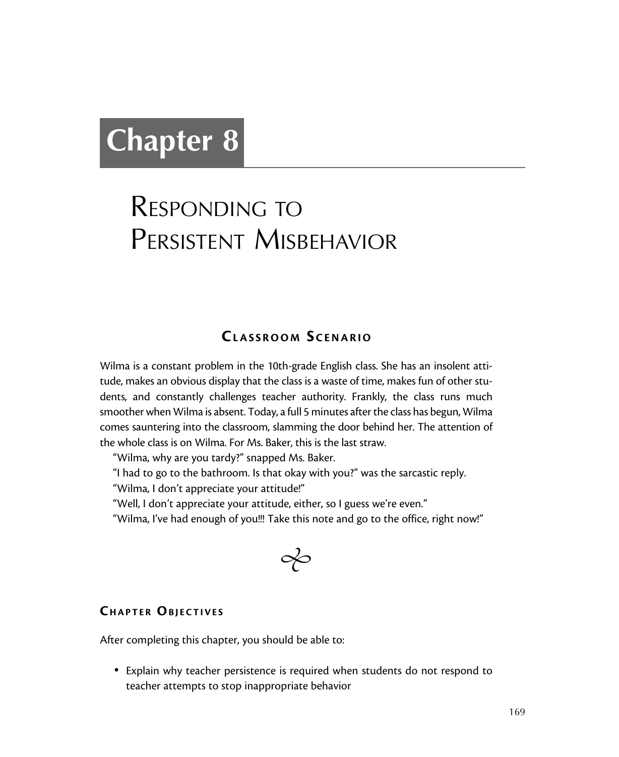# **Chapter 8**

## RESPONDING TO PERSISTENT MISBEHAVIOR

## **CL A S S R O O M SC E N A R I O**

Wilma is a constant problem in the 10th-grade English class. She has an insolent attitude, makes an obvious display that the class is a waste of time, makes fun of other students, and constantly challenges teacher authority. Frankly, the class runs much smoother when Wilma is absent. Today, a full 5 minutes after the class has begun, Wilma comes sauntering into the classroom, slamming the door behind her. The attention of the whole class is on Wilma. For Ms. Baker, this is the last straw.

"Wilma, why are you tardy?" snapped Ms. Baker.

"I had to go to the bathroom. Is that okay with you?" was the sarcastic reply.

"Wilma, I don't appreciate your attitude!"

- "Well, I don't appreciate your attitude, either, so I guess we're even."
- "Wilma, I've had enough of you!!! Take this note and go to the office, right now!"



## **CHAPTER OBJECTIVES**

After completing this chapter, you should be able to:

• Explain why teacher persistence is required when students do not respond to teacher attempts to stop inappropriate behavior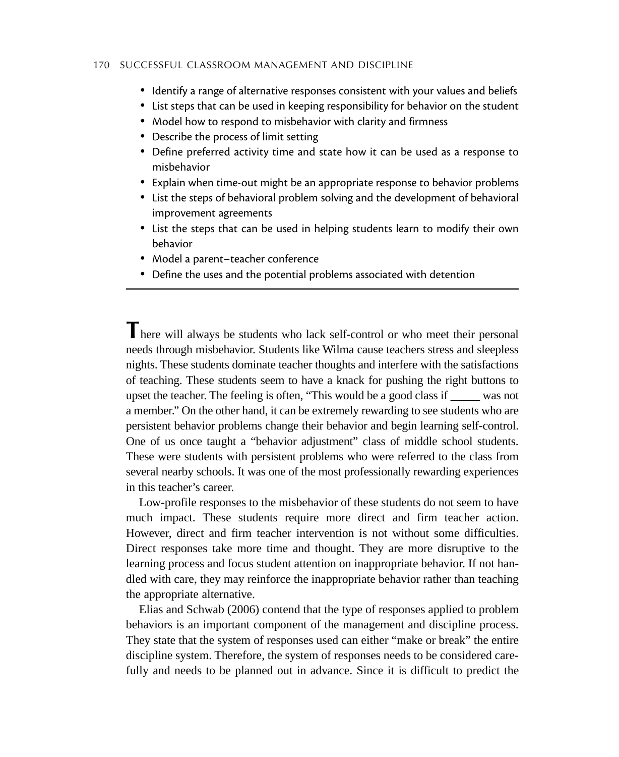- Identify a range of alternative responses consistent with your values and beliefs
- List steps that can be used in keeping responsibility for behavior on the student
- Model how to respond to misbehavior with clarity and firmness
- Describe the process of limit setting
- Define preferred activity time and state how it can be used as a response to misbehavior
- Explain when time-out might be an appropriate response to behavior problems
- List the steps of behavioral problem solving and the development of behavioral improvement agreements
- List the steps that can be used in helping students learn to modify their own behavior
- Model a parent–teacher conference
- Define the uses and the potential problems associated with detention

**T**here will always be students who lack self-control or who meet their personal needs through misbehavior. Students like Wilma cause teachers stress and sleepless nights. These students dominate teacher thoughts and interfere with the satisfactions of teaching. These students seem to have a knack for pushing the right buttons to upset the teacher. The feeling is often, "This would be a good class if \_\_\_\_\_ was not a member." On the other hand, it can be extremely rewarding to see students who are persistent behavior problems change their behavior and begin learning self-control. One of us once taught a "behavior adjustment" class of middle school students. These were students with persistent problems who were referred to the class from several nearby schools. It was one of the most professionally rewarding experiences in this teacher's career.

Low-profile responses to the misbehavior of these students do not seem to have much impact. These students require more direct and firm teacher action. However, direct and firm teacher intervention is not without some difficulties. Direct responses take more time and thought. They are more disruptive to the learning process and focus student attention on inappropriate behavior. If not handled with care, they may reinforce the inappropriate behavior rather than teaching the appropriate alternative.

Elias and Schwab (2006) contend that the type of responses applied to problem behaviors is an important component of the management and discipline process. They state that the system of responses used can either "make or break" the entire discipline system. Therefore, the system of responses needs to be considered carefully and needs to be planned out in advance. Since it is difficult to predict the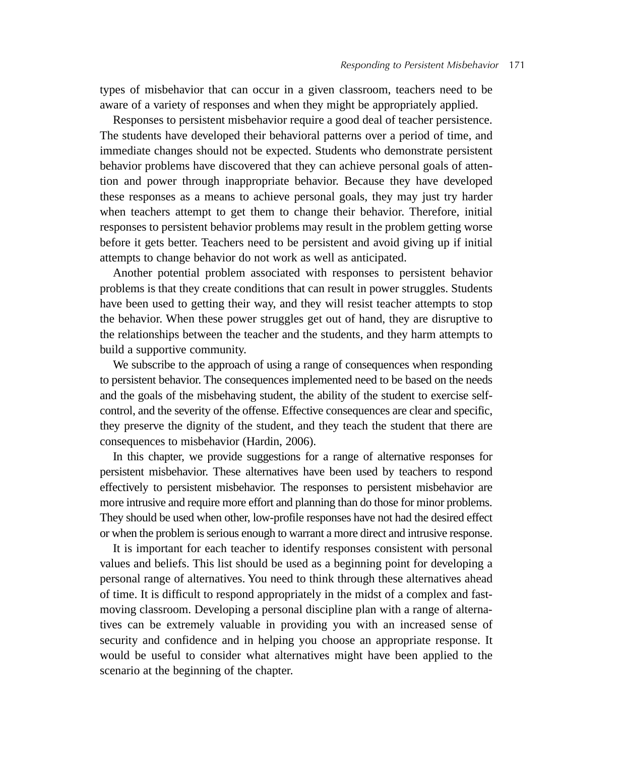types of misbehavior that can occur in a given classroom, teachers need to be aware of a variety of responses and when they might be appropriately applied.

Responses to persistent misbehavior require a good deal of teacher persistence. The students have developed their behavioral patterns over a period of time, and immediate changes should not be expected. Students who demonstrate persistent behavior problems have discovered that they can achieve personal goals of attention and power through inappropriate behavior. Because they have developed these responses as a means to achieve personal goals, they may just try harder when teachers attempt to get them to change their behavior. Therefore, initial responses to persistent behavior problems may result in the problem getting worse before it gets better. Teachers need to be persistent and avoid giving up if initial attempts to change behavior do not work as well as anticipated.

Another potential problem associated with responses to persistent behavior problems is that they create conditions that can result in power struggles. Students have been used to getting their way, and they will resist teacher attempts to stop the behavior. When these power struggles get out of hand, they are disruptive to the relationships between the teacher and the students, and they harm attempts to build a supportive community.

We subscribe to the approach of using a range of consequences when responding to persistent behavior. The consequences implemented need to be based on the needs and the goals of the misbehaving student, the ability of the student to exercise selfcontrol, and the severity of the offense. Effective consequences are clear and specific, they preserve the dignity of the student, and they teach the student that there are consequences to misbehavior (Hardin, 2006).

In this chapter, we provide suggestions for a range of alternative responses for persistent misbehavior. These alternatives have been used by teachers to respond effectively to persistent misbehavior. The responses to persistent misbehavior are more intrusive and require more effort and planning than do those for minor problems. They should be used when other, low-profile responses have not had the desired effect or when the problem is serious enough to warrant a more direct and intrusive response.

It is important for each teacher to identify responses consistent with personal values and beliefs. This list should be used as a beginning point for developing a personal range of alternatives. You need to think through these alternatives ahead of time. It is difficult to respond appropriately in the midst of a complex and fastmoving classroom. Developing a personal discipline plan with a range of alternatives can be extremely valuable in providing you with an increased sense of security and confidence and in helping you choose an appropriate response. It would be useful to consider what alternatives might have been applied to the scenario at the beginning of the chapter.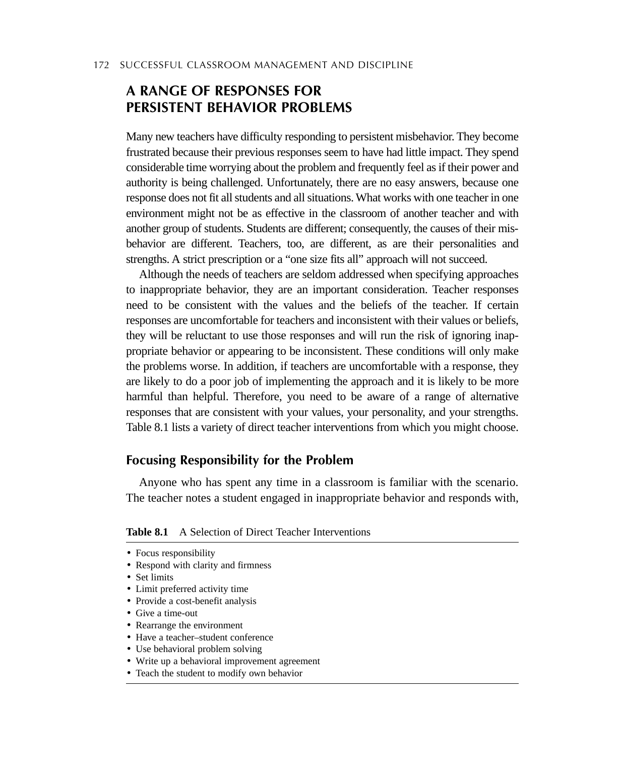## **A RANGE OF RESPONSES FOR PERSISTENT BEHAVIOR PROBLEMS**

Many new teachers have difficulty responding to persistent misbehavior. They become frustrated because their previous responses seem to have had little impact. They spend considerable time worrying about the problem and frequently feel as if their power and authority is being challenged. Unfortunately, there are no easy answers, because one response does not fit all students and all situations. What works with one teacher in one environment might not be as effective in the classroom of another teacher and with another group of students. Students are different; consequently, the causes of their misbehavior are different. Teachers, too, are different, as are their personalities and strengths. A strict prescription or a "one size fits all" approach will not succeed.

Although the needs of teachers are seldom addressed when specifying approaches to inappropriate behavior, they are an important consideration. Teacher responses need to be consistent with the values and the beliefs of the teacher. If certain responses are uncomfortable for teachers and inconsistent with their values or beliefs, they will be reluctant to use those responses and will run the risk of ignoring inappropriate behavior or appearing to be inconsistent. These conditions will only make the problems worse. In addition, if teachers are uncomfortable with a response, they are likely to do a poor job of implementing the approach and it is likely to be more harmful than helpful. Therefore, you need to be aware of a range of alternative responses that are consistent with your values, your personality, and your strengths. Table 8.1 lists a variety of direct teacher interventions from which you might choose.

## **Focusing Responsibility for the Problem**

Anyone who has spent any time in a classroom is familiar with the scenario. The teacher notes a student engaged in inappropriate behavior and responds with,

#### **Table 8.1** A Selection of Direct Teacher Interventions

- Focus responsibility
- Respond with clarity and firmness
- Set limits
- Limit preferred activity time
- Provide a cost-benefit analysis
- Give a time-out
- Rearrange the environment
- Have a teacher–student conference
- Use behavioral problem solving
- Write up a behavioral improvement agreement
- Teach the student to modify own behavior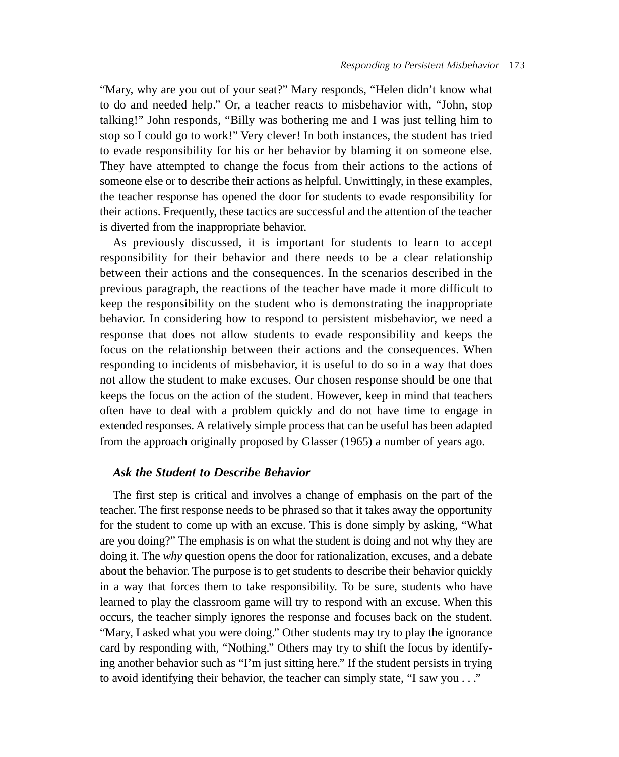"Mary, why are you out of your seat?" Mary responds, "Helen didn't know what to do and needed help." Or, a teacher reacts to misbehavior with, "John, stop talking!" John responds, "Billy was bothering me and I was just telling him to stop so I could go to work!" Very clever! In both instances, the student has tried to evade responsibility for his or her behavior by blaming it on someone else. They have attempted to change the focus from their actions to the actions of someone else or to describe their actions as helpful. Unwittingly, in these examples, the teacher response has opened the door for students to evade responsibility for their actions. Frequently, these tactics are successful and the attention of the teacher is diverted from the inappropriate behavior.

As previously discussed, it is important for students to learn to accept responsibility for their behavior and there needs to be a clear relationship between their actions and the consequences. In the scenarios described in the previous paragraph, the reactions of the teacher have made it more difficult to keep the responsibility on the student who is demonstrating the inappropriate behavior. In considering how to respond to persistent misbehavior, we need a response that does not allow students to evade responsibility and keeps the focus on the relationship between their actions and the consequences. When responding to incidents of misbehavior, it is useful to do so in a way that does not allow the student to make excuses. Our chosen response should be one that keeps the focus on the action of the student. However, keep in mind that teachers often have to deal with a problem quickly and do not have time to engage in extended responses. A relatively simple process that can be useful has been adapted from the approach originally proposed by Glasser (1965) a number of years ago.

#### *Ask the Student to Describe Behavior*

The first step is critical and involves a change of emphasis on the part of the teacher. The first response needs to be phrased so that it takes away the opportunity for the student to come up with an excuse. This is done simply by asking, "What are you doing?" The emphasis is on what the student is doing and not why they are doing it. The *why* question opens the door for rationalization, excuses, and a debate about the behavior. The purpose is to get students to describe their behavior quickly in a way that forces them to take responsibility. To be sure, students who have learned to play the classroom game will try to respond with an excuse. When this occurs, the teacher simply ignores the response and focuses back on the student. "Mary, I asked what you were doing." Other students may try to play the ignorance card by responding with, "Nothing." Others may try to shift the focus by identifying another behavior such as "I'm just sitting here." If the student persists in trying to avoid identifying their behavior, the teacher can simply state, "I saw you . . ."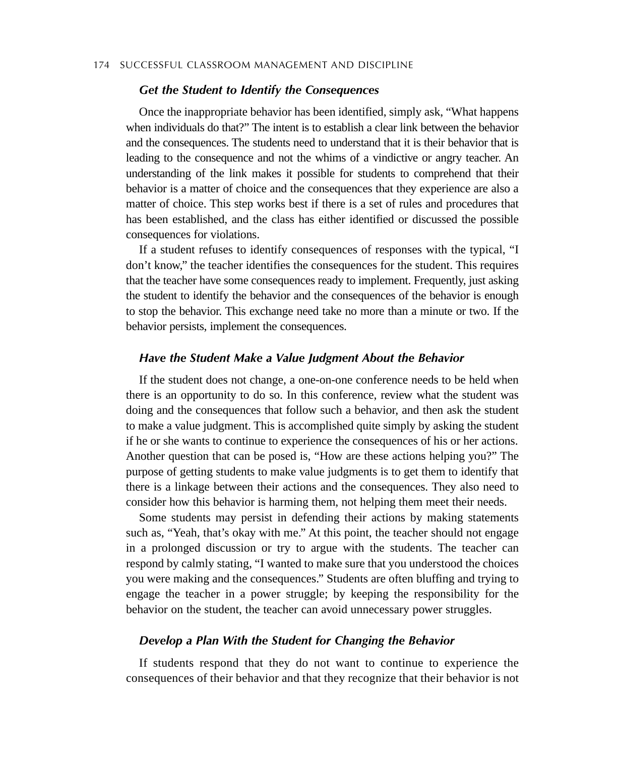#### *Get the Student to Identify the Consequences*

Once the inappropriate behavior has been identified, simply ask, "What happens when individuals do that?" The intent is to establish a clear link between the behavior and the consequences. The students need to understand that it is their behavior that is leading to the consequence and not the whims of a vindictive or angry teacher. An understanding of the link makes it possible for students to comprehend that their behavior is a matter of choice and the consequences that they experience are also a matter of choice. This step works best if there is a set of rules and procedures that has been established, and the class has either identified or discussed the possible consequences for violations.

If a student refuses to identify consequences of responses with the typical, "I don't know," the teacher identifies the consequences for the student. This requires that the teacher have some consequences ready to implement. Frequently, just asking the student to identify the behavior and the consequences of the behavior is enough to stop the behavior. This exchange need take no more than a minute or two. If the behavior persists, implement the consequences.

#### *Have the Student Make a Value Judgment About the Behavior*

If the student does not change, a one-on-one conference needs to be held when there is an opportunity to do so. In this conference, review what the student was doing and the consequences that follow such a behavior, and then ask the student to make a value judgment. This is accomplished quite simply by asking the student if he or she wants to continue to experience the consequences of his or her actions. Another question that can be posed is, "How are these actions helping you?" The purpose of getting students to make value judgments is to get them to identify that there is a linkage between their actions and the consequences. They also need to consider how this behavior is harming them, not helping them meet their needs.

Some students may persist in defending their actions by making statements such as, "Yeah, that's okay with me." At this point, the teacher should not engage in a prolonged discussion or try to argue with the students. The teacher can respond by calmly stating, "I wanted to make sure that you understood the choices you were making and the consequences." Students are often bluffing and trying to engage the teacher in a power struggle; by keeping the responsibility for the behavior on the student, the teacher can avoid unnecessary power struggles.

#### *Develop a Plan With the Student for Changing the Behavior*

If students respond that they do not want to continue to experience the consequences of their behavior and that they recognize that their behavior is not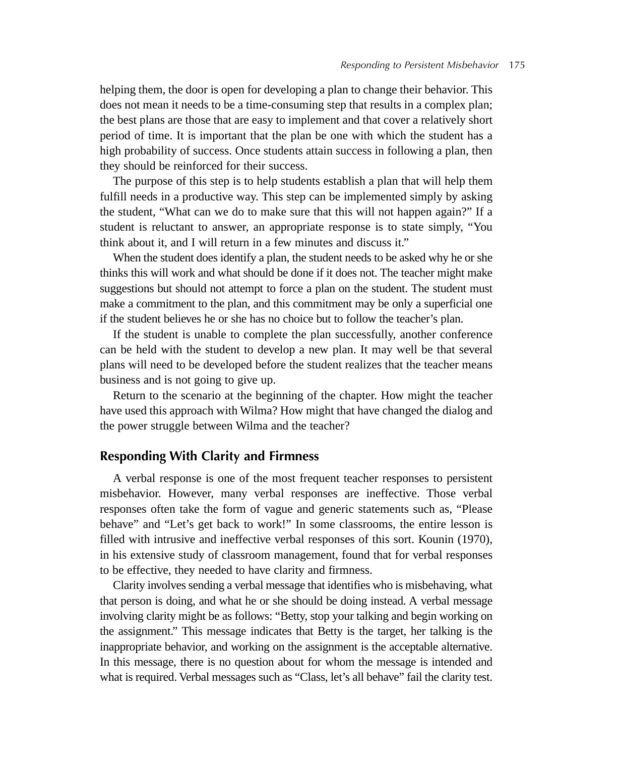helping them, the door is open for developing a plan to change their behavior. This does not mean it needs to be a time-consuming step that results in a complex plan; the best plans are those that are easy to implement and that cover a relatively short period of time. It is important that the plan be one with which the student has a high probability of success. Once students attain success in following a plan, then they should be reinforced for their success.

The purpose of this step is to help students establish a plan that will help them fulfill needs in a productive way. This step can be implemented simply by asking the student, "What can we do to make sure that this will not happen again?" If a student is reluctant to answer, an appropriate response is to state simply, "You think about it, and I will return in a few minutes and discuss it."

When the student does identify a plan, the student needs to be asked why he or she thinks this will work and what should be done if it does not. The teacher might make suggestions but should not attempt to force a plan on the student. The student must make a commitment to the plan, and this commitment may be only a superficial one if the student believes he or she has no choice but to follow the teacher's plan.

If the student is unable to complete the plan successfully, another conference can be held with the student to develop a new plan. It may well be that several plans will need to be developed before the student realizes that the teacher means business and is not going to give up.

Return to the scenario at the beginning of the chapter. How might the teacher have used this approach with Wilma? How might that have changed the dialog and the power struggle between Wilma and the teacher?

## **Responding With Clarity and Firmness**

A verbal response is one of the most frequent teacher responses to persistent misbehavior. However, many verbal responses are ineffective. Those verbal responses often take the form of vague and generic statements such as, "Please behave" and "Let's get back to work!" In some classrooms, the entire lesson is filled with intrusive and ineffective verbal responses of this sort. Kounin (1970), in his extensive study of classroom management, found that for verbal responses to be effective, they needed to have clarity and firmness.

Clarity involves sending a verbal message that identifies who is misbehaving, what that person is doing, and what he or she should be doing instead. A verbal message involving clarity might be as follows: "Betty, stop your talking and begin working on the assignment." This message indicates that Betty is the target, her talking is the inappropriate behavior, and working on the assignment is the acceptable alternative. In this message, there is no question about for whom the message is intended and what is required. Verbal messages such as "Class, let's all behave" fail the clarity test.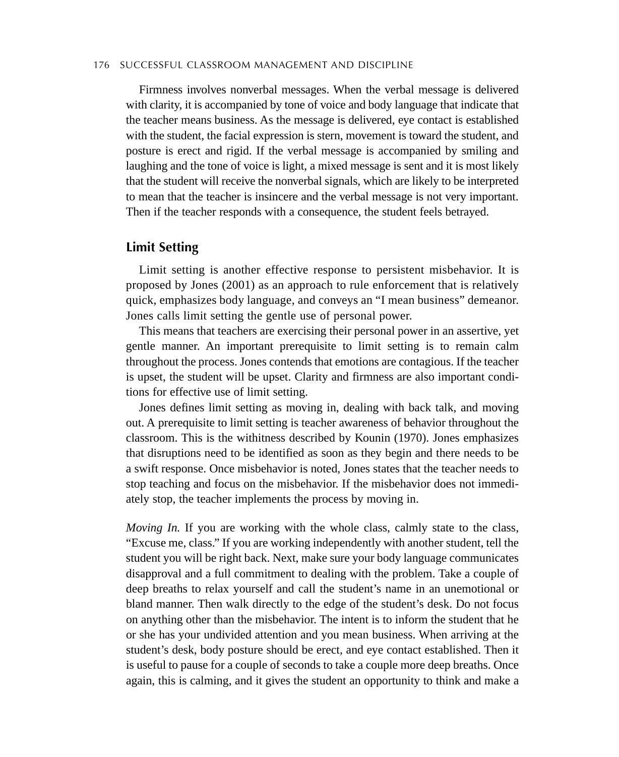Firmness involves nonverbal messages. When the verbal message is delivered with clarity, it is accompanied by tone of voice and body language that indicate that the teacher means business. As the message is delivered, eye contact is established with the student, the facial expression is stern, movement is toward the student, and posture is erect and rigid. If the verbal message is accompanied by smiling and laughing and the tone of voice is light, a mixed message is sent and it is most likely that the student will receive the nonverbal signals, which are likely to be interpreted to mean that the teacher is insincere and the verbal message is not very important. Then if the teacher responds with a consequence, the student feels betrayed.

#### **Limit Setting**

Limit setting is another effective response to persistent misbehavior. It is proposed by Jones (2001) as an approach to rule enforcement that is relatively quick, emphasizes body language, and conveys an "I mean business" demeanor. Jones calls limit setting the gentle use of personal power.

This means that teachers are exercising their personal power in an assertive, yet gentle manner. An important prerequisite to limit setting is to remain calm throughout the process. Jones contends that emotions are contagious. If the teacher is upset, the student will be upset. Clarity and firmness are also important conditions for effective use of limit setting.

Jones defines limit setting as moving in, dealing with back talk, and moving out. A prerequisite to limit setting is teacher awareness of behavior throughout the classroom. This is the withitness described by Kounin (1970). Jones emphasizes that disruptions need to be identified as soon as they begin and there needs to be a swift response. Once misbehavior is noted, Jones states that the teacher needs to stop teaching and focus on the misbehavior. If the misbehavior does not immediately stop, the teacher implements the process by moving in.

*Moving In.* If you are working with the whole class, calmly state to the class, "Excuse me, class." If you are working independently with another student, tell the student you will be right back. Next, make sure your body language communicates disapproval and a full commitment to dealing with the problem. Take a couple of deep breaths to relax yourself and call the student's name in an unemotional or bland manner. Then walk directly to the edge of the student's desk. Do not focus on anything other than the misbehavior. The intent is to inform the student that he or she has your undivided attention and you mean business. When arriving at the student's desk, body posture should be erect, and eye contact established. Then it is useful to pause for a couple of seconds to take a couple more deep breaths. Once again, this is calming, and it gives the student an opportunity to think and make a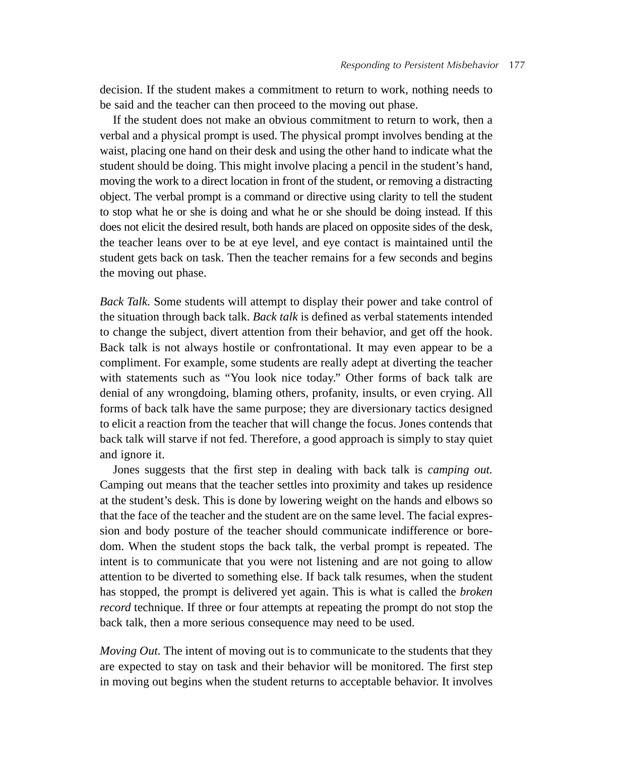decision. If the student makes a commitment to return to work, nothing needs to be said and the teacher can then proceed to the moving out phase.

If the student does not make an obvious commitment to return to work, then a verbal and a physical prompt is used. The physical prompt involves bending at the waist, placing one hand on their desk and using the other hand to indicate what the student should be doing. This might involve placing a pencil in the student's hand, moving the work to a direct location in front of the student, or removing a distracting object. The verbal prompt is a command or directive using clarity to tell the student to stop what he or she is doing and what he or she should be doing instead. If this does not elicit the desired result, both hands are placed on opposite sides of the desk, the teacher leans over to be at eye level, and eye contact is maintained until the student gets back on task. Then the teacher remains for a few seconds and begins the moving out phase.

*Back Talk.* Some students will attempt to display their power and take control of the situation through back talk. *Back talk* is defined as verbal statements intended to change the subject, divert attention from their behavior, and get off the hook. Back talk is not always hostile or confrontational. It may even appear to be a compliment. For example, some students are really adept at diverting the teacher with statements such as "You look nice today." Other forms of back talk are denial of any wrongdoing, blaming others, profanity, insults, or even crying. All forms of back talk have the same purpose; they are diversionary tactics designed to elicit a reaction from the teacher that will change the focus. Jones contends that back talk will starve if not fed. Therefore, a good approach is simply to stay quiet and ignore it.

Jones suggests that the first step in dealing with back talk is *camping out.* Camping out means that the teacher settles into proximity and takes up residence at the student's desk. This is done by lowering weight on the hands and elbows so that the face of the teacher and the student are on the same level. The facial expression and body posture of the teacher should communicate indifference or boredom. When the student stops the back talk, the verbal prompt is repeated. The intent is to communicate that you were not listening and are not going to allow attention to be diverted to something else. If back talk resumes, when the student has stopped, the prompt is delivered yet again. This is what is called the *broken record* technique. If three or four attempts at repeating the prompt do not stop the back talk, then a more serious consequence may need to be used.

*Moving Out.* The intent of moving out is to communicate to the students that they are expected to stay on task and their behavior will be monitored. The first step in moving out begins when the student returns to acceptable behavior. It involves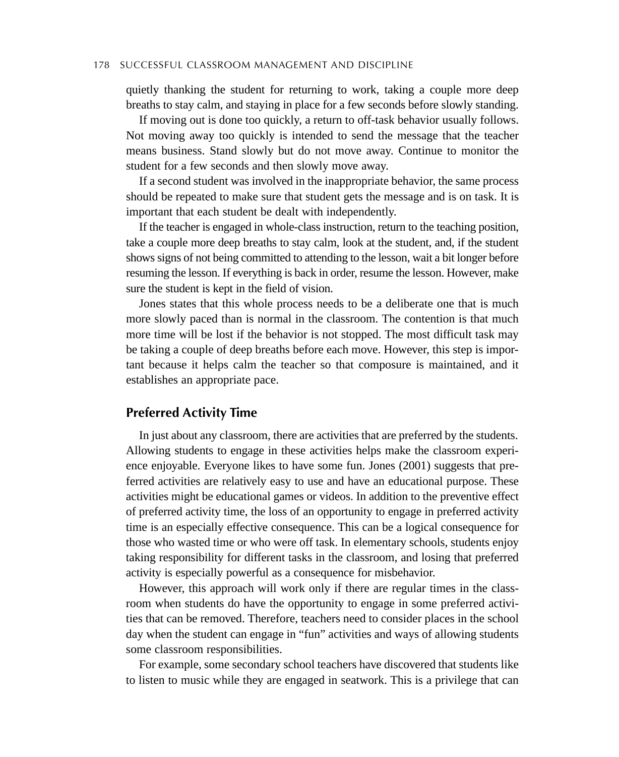quietly thanking the student for returning to work, taking a couple more deep breaths to stay calm, and staying in place for a few seconds before slowly standing.

If moving out is done too quickly, a return to off-task behavior usually follows. Not moving away too quickly is intended to send the message that the teacher means business. Stand slowly but do not move away. Continue to monitor the student for a few seconds and then slowly move away.

If a second student was involved in the inappropriate behavior, the same process should be repeated to make sure that student gets the message and is on task. It is important that each student be dealt with independently.

If the teacher is engaged in whole-class instruction, return to the teaching position, take a couple more deep breaths to stay calm, look at the student, and, if the student shows signs of not being committed to attending to the lesson, wait a bit longer before resuming the lesson. If everything is back in order, resume the lesson. However, make sure the student is kept in the field of vision.

Jones states that this whole process needs to be a deliberate one that is much more slowly paced than is normal in the classroom. The contention is that much more time will be lost if the behavior is not stopped. The most difficult task may be taking a couple of deep breaths before each move. However, this step is important because it helps calm the teacher so that composure is maintained, and it establishes an appropriate pace.

#### **Preferred Activity Time**

In just about any classroom, there are activities that are preferred by the students. Allowing students to engage in these activities helps make the classroom experience enjoyable. Everyone likes to have some fun. Jones (2001) suggests that preferred activities are relatively easy to use and have an educational purpose. These activities might be educational games or videos. In addition to the preventive effect of preferred activity time, the loss of an opportunity to engage in preferred activity time is an especially effective consequence. This can be a logical consequence for those who wasted time or who were off task. In elementary schools, students enjoy taking responsibility for different tasks in the classroom, and losing that preferred activity is especially powerful as a consequence for misbehavior.

However, this approach will work only if there are regular times in the classroom when students do have the opportunity to engage in some preferred activities that can be removed. Therefore, teachers need to consider places in the school day when the student can engage in "fun" activities and ways of allowing students some classroom responsibilities.

For example, some secondary school teachers have discovered that students like to listen to music while they are engaged in seatwork. This is a privilege that can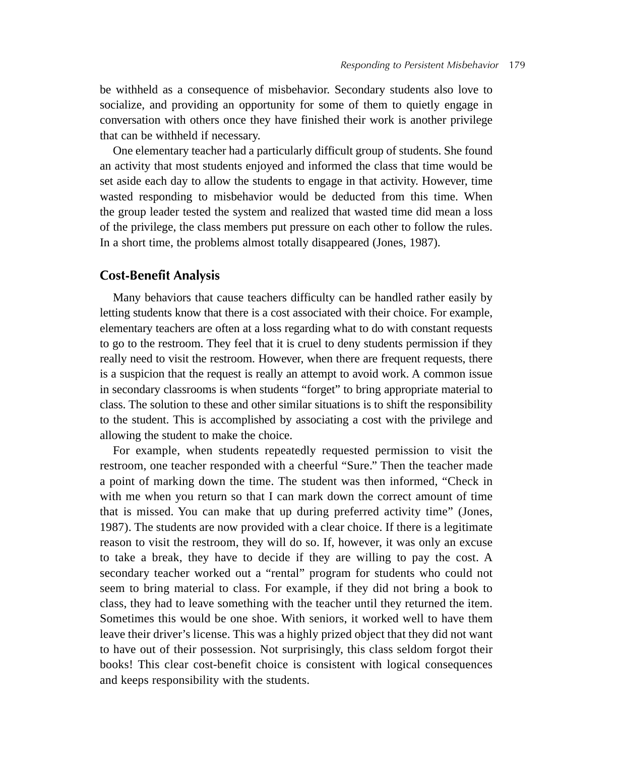be withheld as a consequence of misbehavior. Secondary students also love to socialize, and providing an opportunity for some of them to quietly engage in conversation with others once they have finished their work is another privilege that can be withheld if necessary.

One elementary teacher had a particularly difficult group of students. She found an activity that most students enjoyed and informed the class that time would be set aside each day to allow the students to engage in that activity. However, time wasted responding to misbehavior would be deducted from this time. When the group leader tested the system and realized that wasted time did mean a loss of the privilege, the class members put pressure on each other to follow the rules. In a short time, the problems almost totally disappeared (Jones, 1987).

## **Cost-Benefit Analysis**

Many behaviors that cause teachers difficulty can be handled rather easily by letting students know that there is a cost associated with their choice. For example, elementary teachers are often at a loss regarding what to do with constant requests to go to the restroom. They feel that it is cruel to deny students permission if they really need to visit the restroom. However, when there are frequent requests, there is a suspicion that the request is really an attempt to avoid work. A common issue in secondary classrooms is when students "forget" to bring appropriate material to class. The solution to these and other similar situations is to shift the responsibility to the student. This is accomplished by associating a cost with the privilege and allowing the student to make the choice.

For example, when students repeatedly requested permission to visit the restroom, one teacher responded with a cheerful "Sure." Then the teacher made a point of marking down the time. The student was then informed, "Check in with me when you return so that I can mark down the correct amount of time that is missed. You can make that up during preferred activity time" (Jones, 1987). The students are now provided with a clear choice. If there is a legitimate reason to visit the restroom, they will do so. If, however, it was only an excuse to take a break, they have to decide if they are willing to pay the cost. A secondary teacher worked out a "rental" program for students who could not seem to bring material to class. For example, if they did not bring a book to class, they had to leave something with the teacher until they returned the item. Sometimes this would be one shoe. With seniors, it worked well to have them leave their driver's license. This was a highly prized object that they did not want to have out of their possession. Not surprisingly, this class seldom forgot their books! This clear cost-benefit choice is consistent with logical consequences and keeps responsibility with the students.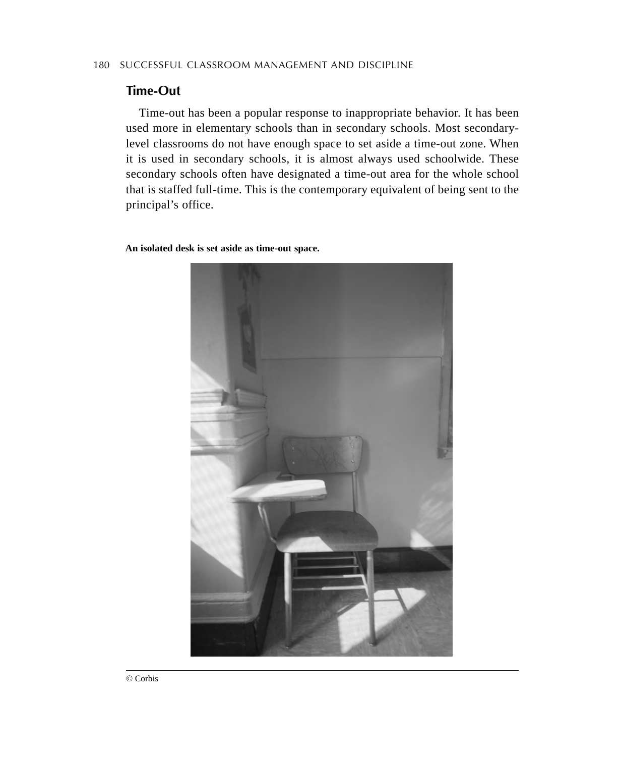## **Time-Out**

Time-out has been a popular response to inappropriate behavior. It has been used more in elementary schools than in secondary schools. Most secondarylevel classrooms do not have enough space to set aside a time-out zone. When it is used in secondary schools, it is almost always used schoolwide. These secondary schools often have designated a time-out area for the whole school that is staffed full-time. This is the contemporary equivalent of being sent to the principal's office.

**An isolated desk is set aside as time-out space.**

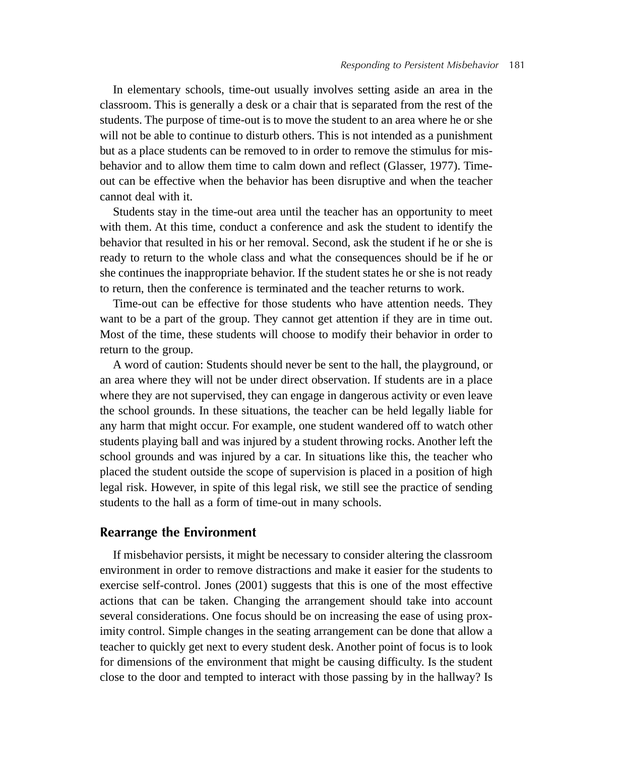In elementary schools, time-out usually involves setting aside an area in the classroom. This is generally a desk or a chair that is separated from the rest of the students. The purpose of time-out is to move the student to an area where he or she will not be able to continue to disturb others. This is not intended as a punishment but as a place students can be removed to in order to remove the stimulus for misbehavior and to allow them time to calm down and reflect (Glasser, 1977). Timeout can be effective when the behavior has been disruptive and when the teacher cannot deal with it.

Students stay in the time-out area until the teacher has an opportunity to meet with them. At this time, conduct a conference and ask the student to identify the behavior that resulted in his or her removal. Second, ask the student if he or she is ready to return to the whole class and what the consequences should be if he or she continues the inappropriate behavior. If the student states he or she is not ready to return, then the conference is terminated and the teacher returns to work.

Time-out can be effective for those students who have attention needs. They want to be a part of the group. They cannot get attention if they are in time out. Most of the time, these students will choose to modify their behavior in order to return to the group.

A word of caution: Students should never be sent to the hall, the playground, or an area where they will not be under direct observation. If students are in a place where they are not supervised, they can engage in dangerous activity or even leave the school grounds. In these situations, the teacher can be held legally liable for any harm that might occur. For example, one student wandered off to watch other students playing ball and was injured by a student throwing rocks. Another left the school grounds and was injured by a car. In situations like this, the teacher who placed the student outside the scope of supervision is placed in a position of high legal risk. However, in spite of this legal risk, we still see the practice of sending students to the hall as a form of time-out in many schools.

## **Rearrange the Environment**

If misbehavior persists, it might be necessary to consider altering the classroom environment in order to remove distractions and make it easier for the students to exercise self-control. Jones (2001) suggests that this is one of the most effective actions that can be taken. Changing the arrangement should take into account several considerations. One focus should be on increasing the ease of using proximity control. Simple changes in the seating arrangement can be done that allow a teacher to quickly get next to every student desk. Another point of focus is to look for dimensions of the environment that might be causing difficulty. Is the student close to the door and tempted to interact with those passing by in the hallway? Is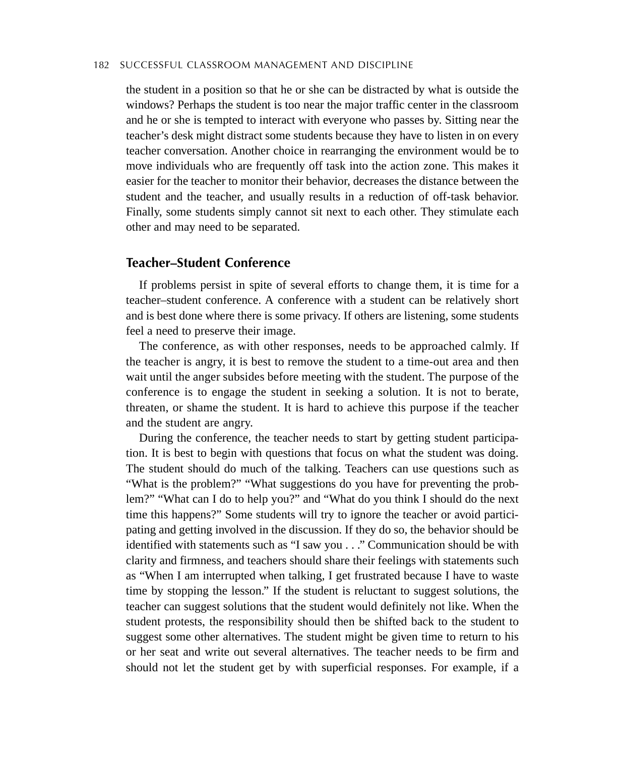the student in a position so that he or she can be distracted by what is outside the windows? Perhaps the student is too near the major traffic center in the classroom and he or she is tempted to interact with everyone who passes by. Sitting near the teacher's desk might distract some students because they have to listen in on every teacher conversation. Another choice in rearranging the environment would be to move individuals who are frequently off task into the action zone. This makes it easier for the teacher to monitor their behavior, decreases the distance between the student and the teacher, and usually results in a reduction of off-task behavior. Finally, some students simply cannot sit next to each other. They stimulate each other and may need to be separated.

#### **Teacher–Student Conference**

If problems persist in spite of several efforts to change them, it is time for a teacher–student conference. A conference with a student can be relatively short and is best done where there is some privacy. If others are listening, some students feel a need to preserve their image.

The conference, as with other responses, needs to be approached calmly. If the teacher is angry, it is best to remove the student to a time-out area and then wait until the anger subsides before meeting with the student. The purpose of the conference is to engage the student in seeking a solution. It is not to berate, threaten, or shame the student. It is hard to achieve this purpose if the teacher and the student are angry.

During the conference, the teacher needs to start by getting student participation. It is best to begin with questions that focus on what the student was doing. The student should do much of the talking. Teachers can use questions such as "What is the problem?" "What suggestions do you have for preventing the problem?" "What can I do to help you?" and "What do you think I should do the next time this happens?" Some students will try to ignore the teacher or avoid participating and getting involved in the discussion. If they do so, the behavior should be identified with statements such as "I saw you . . ." Communication should be with clarity and firmness, and teachers should share their feelings with statements such as "When I am interrupted when talking, I get frustrated because I have to waste time by stopping the lesson." If the student is reluctant to suggest solutions, the teacher can suggest solutions that the student would definitely not like. When the student protests, the responsibility should then be shifted back to the student to suggest some other alternatives. The student might be given time to return to his or her seat and write out several alternatives. The teacher needs to be firm and should not let the student get by with superficial responses. For example, if a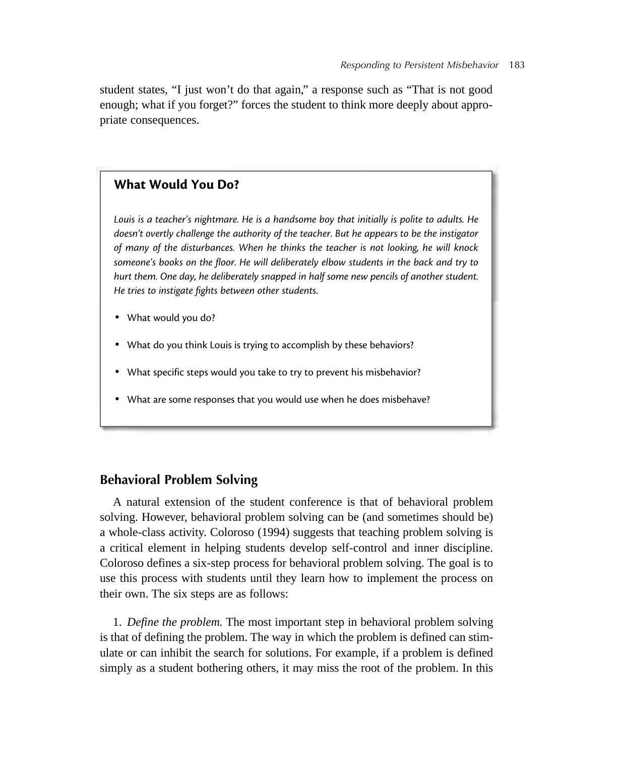student states, "I just won't do that again," a response such as "That is not good enough; what if you forget?" forces the student to think more deeply about appropriate consequences.

## **What Would You Do?**

*Louis is a teacher's nightmare. He is a handsome boy that initially is polite to adults. He doesn't overtly challenge the authority of the teacher. But he appears to be the instigator of many of the disturbances. When he thinks the teacher is not looking, he will knock someone's books on the floor. He will deliberately elbow students in the back and try to hurt them. One day, he deliberately snapped in half some new pencils of another student. He tries to instigate fights between other students.*

- What would you do?
- What do you think Louis is trying to accomplish by these behaviors?
- What specific steps would you take to try to prevent his misbehavior?
- What are some responses that you would use when he does misbehave?

## **Behavioral Problem Solving**

A natural extension of the student conference is that of behavioral problem solving. However, behavioral problem solving can be (and sometimes should be) a whole-class activity. Coloroso (1994) suggests that teaching problem solving is a critical element in helping students develop self-control and inner discipline. Coloroso defines a six-step process for behavioral problem solving. The goal is to use this process with students until they learn how to implement the process on their own. The six steps are as follows:

1. *Define the problem.* The most important step in behavioral problem solving is that of defining the problem. The way in which the problem is defined can stimulate or can inhibit the search for solutions. For example, if a problem is defined simply as a student bothering others, it may miss the root of the problem. In this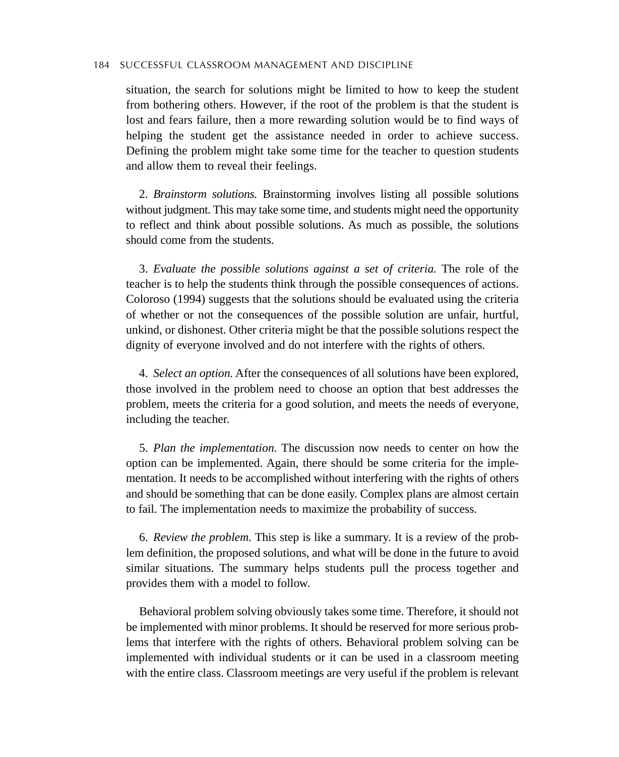situation, the search for solutions might be limited to how to keep the student from bothering others. However, if the root of the problem is that the student is lost and fears failure, then a more rewarding solution would be to find ways of helping the student get the assistance needed in order to achieve success. Defining the problem might take some time for the teacher to question students and allow them to reveal their feelings.

2. *Brainstorm solutions.* Brainstorming involves listing all possible solutions without judgment. This may take some time, and students might need the opportunity to reflect and think about possible solutions. As much as possible, the solutions should come from the students.

3. *Evaluate the possible solutions against a set of criteria.* The role of the teacher is to help the students think through the possible consequences of actions. Coloroso (1994) suggests that the solutions should be evaluated using the criteria of whether or not the consequences of the possible solution are unfair, hurtful, unkind, or dishonest. Other criteria might be that the possible solutions respect the dignity of everyone involved and do not interfere with the rights of others.

4. *Select an option.* After the consequences of all solutions have been explored, those involved in the problem need to choose an option that best addresses the problem, meets the criteria for a good solution, and meets the needs of everyone, including the teacher.

5. *Plan the implementation.* The discussion now needs to center on how the option can be implemented. Again, there should be some criteria for the implementation. It needs to be accomplished without interfering with the rights of others and should be something that can be done easily. Complex plans are almost certain to fail. The implementation needs to maximize the probability of success.

6. *Review the problem.* This step is like a summary. It is a review of the problem definition, the proposed solutions, and what will be done in the future to avoid similar situations. The summary helps students pull the process together and provides them with a model to follow.

Behavioral problem solving obviously takes some time. Therefore, it should not be implemented with minor problems. It should be reserved for more serious problems that interfere with the rights of others. Behavioral problem solving can be implemented with individual students or it can be used in a classroom meeting with the entire class. Classroom meetings are very useful if the problem is relevant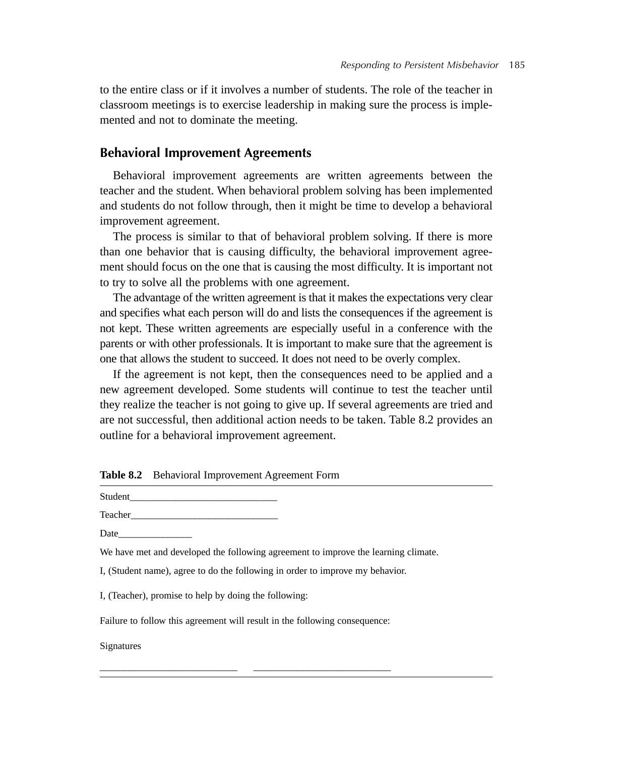to the entire class or if it involves a number of students. The role of the teacher in classroom meetings is to exercise leadership in making sure the process is implemented and not to dominate the meeting.

## **Behavioral Improvement Agreements**

Behavioral improvement agreements are written agreements between the teacher and the student. When behavioral problem solving has been implemented and students do not follow through, then it might be time to develop a behavioral improvement agreement.

The process is similar to that of behavioral problem solving. If there is more than one behavior that is causing difficulty, the behavioral improvement agreement should focus on the one that is causing the most difficulty. It is important not to try to solve all the problems with one agreement.

The advantage of the written agreement is that it makes the expectations very clear and specifies what each person will do and lists the consequences if the agreement is not kept. These written agreements are especially useful in a conference with the parents or with other professionals. It is important to make sure that the agreement is one that allows the student to succeed. It does not need to be overly complex.

If the agreement is not kept, then the consequences need to be applied and a new agreement developed. Some students will continue to test the teacher until they realize the teacher is not going to give up. If several agreements are tried and are not successful, then additional action needs to be taken. Table 8.2 provides an outline for a behavioral improvement agreement.



**Table 8.2** Behavioral Improvement Agreement Form

Teacher

Date\_\_\_\_\_\_\_\_\_\_\_\_\_\_\_

We have met and developed the following agreement to improve the learning climate.

I, (Student name), agree to do the following in order to improve my behavior.

I, (Teacher), promise to help by doing the following:

Failure to follow this agreement will result in the following consequence:

\_\_\_\_\_\_\_\_\_\_\_\_\_\_\_\_\_\_\_\_\_\_\_\_\_\_\_\_ \_\_\_\_\_\_\_\_\_\_\_\_\_\_\_\_\_\_\_\_\_\_\_\_\_\_\_\_

Signatures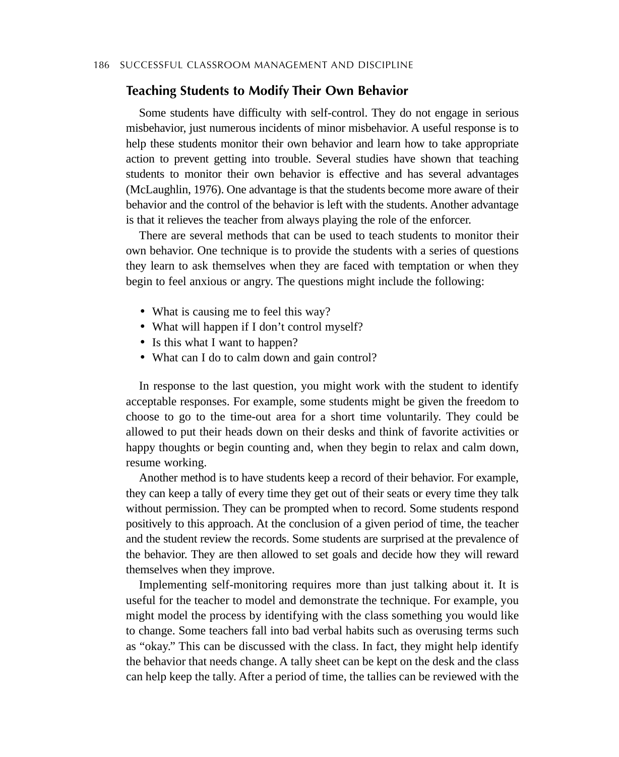#### **Teaching Students to Modify Their Own Behavior**

Some students have difficulty with self-control. They do not engage in serious misbehavior, just numerous incidents of minor misbehavior. A useful response is to help these students monitor their own behavior and learn how to take appropriate action to prevent getting into trouble. Several studies have shown that teaching students to monitor their own behavior is effective and has several advantages (McLaughlin, 1976). One advantage is that the students become more aware of their behavior and the control of the behavior is left with the students. Another advantage is that it relieves the teacher from always playing the role of the enforcer.

There are several methods that can be used to teach students to monitor their own behavior. One technique is to provide the students with a series of questions they learn to ask themselves when they are faced with temptation or when they begin to feel anxious or angry. The questions might include the following:

- What is causing me to feel this way?
- What will happen if I don't control myself?
- Is this what I want to happen?
- What can I do to calm down and gain control?

In response to the last question, you might work with the student to identify acceptable responses. For example, some students might be given the freedom to choose to go to the time-out area for a short time voluntarily. They could be allowed to put their heads down on their desks and think of favorite activities or happy thoughts or begin counting and, when they begin to relax and calm down, resume working.

Another method is to have students keep a record of their behavior. For example, they can keep a tally of every time they get out of their seats or every time they talk without permission. They can be prompted when to record. Some students respond positively to this approach. At the conclusion of a given period of time, the teacher and the student review the records. Some students are surprised at the prevalence of the behavior. They are then allowed to set goals and decide how they will reward themselves when they improve.

Implementing self-monitoring requires more than just talking about it. It is useful for the teacher to model and demonstrate the technique. For example, you might model the process by identifying with the class something you would like to change. Some teachers fall into bad verbal habits such as overusing terms such as "okay." This can be discussed with the class. In fact, they might help identify the behavior that needs change. A tally sheet can be kept on the desk and the class can help keep the tally. After a period of time, the tallies can be reviewed with the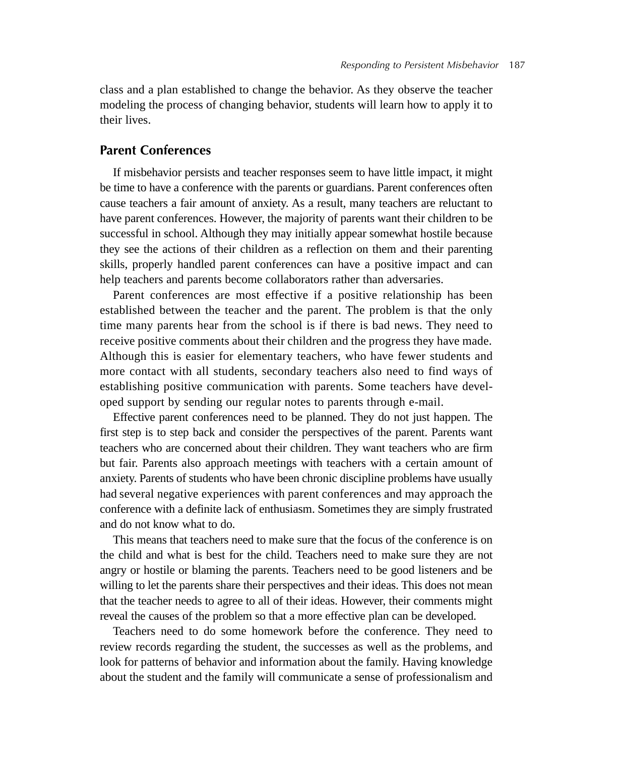class and a plan established to change the behavior. As they observe the teacher modeling the process of changing behavior, students will learn how to apply it to their lives.

## **Parent Conferences**

If misbehavior persists and teacher responses seem to have little impact, it might be time to have a conference with the parents or guardians. Parent conferences often cause teachers a fair amount of anxiety. As a result, many teachers are reluctant to have parent conferences. However, the majority of parents want their children to be successful in school. Although they may initially appear somewhat hostile because they see the actions of their children as a reflection on them and their parenting skills, properly handled parent conferences can have a positive impact and can help teachers and parents become collaborators rather than adversaries.

Parent conferences are most effective if a positive relationship has been established between the teacher and the parent. The problem is that the only time many parents hear from the school is if there is bad news. They need to receive positive comments about their children and the progress they have made. Although this is easier for elementary teachers, who have fewer students and more contact with all students, secondary teachers also need to find ways of establishing positive communication with parents. Some teachers have developed support by sending our regular notes to parents through e-mail.

Effective parent conferences need to be planned. They do not just happen. The first step is to step back and consider the perspectives of the parent. Parents want teachers who are concerned about their children. They want teachers who are firm but fair. Parents also approach meetings with teachers with a certain amount of anxiety. Parents of students who have been chronic discipline problems have usually had several negative experiences with parent conferences and may approach the conference with a definite lack of enthusiasm. Sometimes they are simply frustrated and do not know what to do.

This means that teachers need to make sure that the focus of the conference is on the child and what is best for the child. Teachers need to make sure they are not angry or hostile or blaming the parents. Teachers need to be good listeners and be willing to let the parents share their perspectives and their ideas. This does not mean that the teacher needs to agree to all of their ideas. However, their comments might reveal the causes of the problem so that a more effective plan can be developed.

Teachers need to do some homework before the conference. They need to review records regarding the student, the successes as well as the problems, and look for patterns of behavior and information about the family. Having knowledge about the student and the family will communicate a sense of professionalism and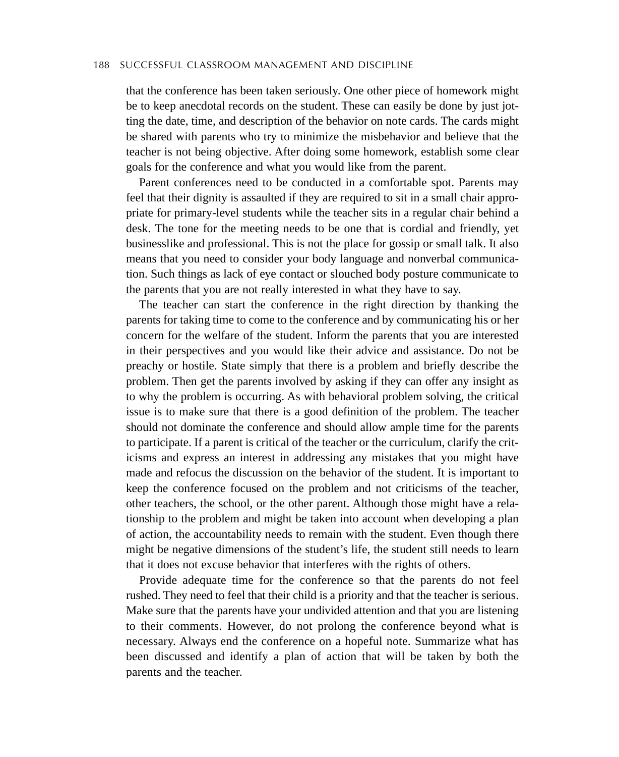that the conference has been taken seriously. One other piece of homework might be to keep anecdotal records on the student. These can easily be done by just jotting the date, time, and description of the behavior on note cards. The cards might be shared with parents who try to minimize the misbehavior and believe that the teacher is not being objective. After doing some homework, establish some clear goals for the conference and what you would like from the parent.

Parent conferences need to be conducted in a comfortable spot. Parents may feel that their dignity is assaulted if they are required to sit in a small chair appropriate for primary-level students while the teacher sits in a regular chair behind a desk. The tone for the meeting needs to be one that is cordial and friendly, yet businesslike and professional. This is not the place for gossip or small talk. It also means that you need to consider your body language and nonverbal communication. Such things as lack of eye contact or slouched body posture communicate to the parents that you are not really interested in what they have to say.

The teacher can start the conference in the right direction by thanking the parents for taking time to come to the conference and by communicating his or her concern for the welfare of the student. Inform the parents that you are interested in their perspectives and you would like their advice and assistance. Do not be preachy or hostile. State simply that there is a problem and briefly describe the problem. Then get the parents involved by asking if they can offer any insight as to why the problem is occurring. As with behavioral problem solving, the critical issue is to make sure that there is a good definition of the problem. The teacher should not dominate the conference and should allow ample time for the parents to participate. If a parent is critical of the teacher or the curriculum, clarify the criticisms and express an interest in addressing any mistakes that you might have made and refocus the discussion on the behavior of the student. It is important to keep the conference focused on the problem and not criticisms of the teacher, other teachers, the school, or the other parent. Although those might have a relationship to the problem and might be taken into account when developing a plan of action, the accountability needs to remain with the student. Even though there might be negative dimensions of the student's life, the student still needs to learn that it does not excuse behavior that interferes with the rights of others.

Provide adequate time for the conference so that the parents do not feel rushed. They need to feel that their child is a priority and that the teacher is serious. Make sure that the parents have your undivided attention and that you are listening to their comments. However, do not prolong the conference beyond what is necessary. Always end the conference on a hopeful note. Summarize what has been discussed and identify a plan of action that will be taken by both the parents and the teacher.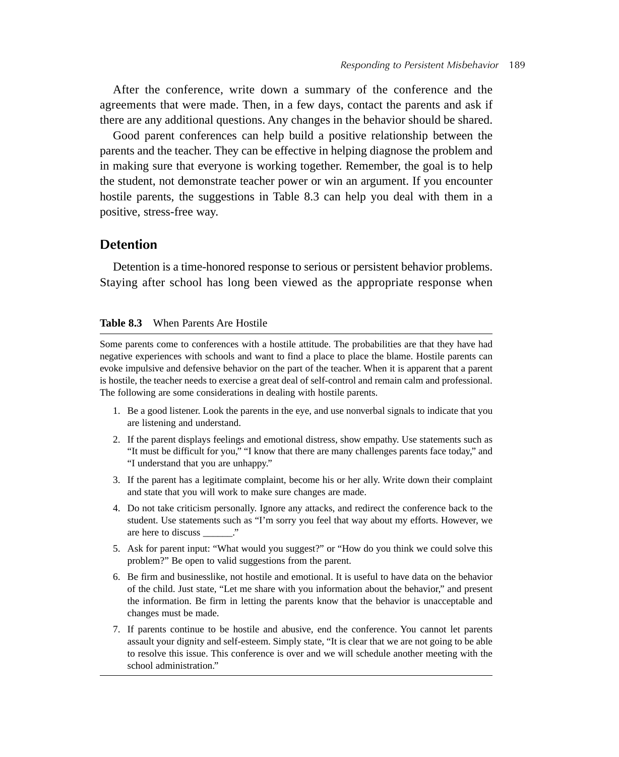After the conference, write down a summary of the conference and the agreements that were made. Then, in a few days, contact the parents and ask if there are any additional questions. Any changes in the behavior should be shared.

Good parent conferences can help build a positive relationship between the parents and the teacher. They can be effective in helping diagnose the problem and in making sure that everyone is working together. Remember, the goal is to help the student, not demonstrate teacher power or win an argument. If you encounter hostile parents, the suggestions in Table 8.3 can help you deal with them in a positive, stress-free way.

#### **Detention**

Detention is a time-honored response to serious or persistent behavior problems. Staying after school has long been viewed as the appropriate response when

#### **Table 8.3** When Parents Are Hostile

Some parents come to conferences with a hostile attitude. The probabilities are that they have had negative experiences with schools and want to find a place to place the blame. Hostile parents can evoke impulsive and defensive behavior on the part of the teacher. When it is apparent that a parent is hostile, the teacher needs to exercise a great deal of self-control and remain calm and professional. The following are some considerations in dealing with hostile parents.

- 1. Be a good listener. Look the parents in the eye, and use nonverbal signals to indicate that you are listening and understand.
- 2. If the parent displays feelings and emotional distress, show empathy. Use statements such as "It must be difficult for you," "I know that there are many challenges parents face today," and "I understand that you are unhappy."
- 3. If the parent has a legitimate complaint, become his or her ally. Write down their complaint and state that you will work to make sure changes are made.
- 4. Do not take criticism personally. Ignore any attacks, and redirect the conference back to the student. Use statements such as "I'm sorry you feel that way about my efforts. However, we are here to discuss \_\_\_\_\_\_."
- 5. Ask for parent input: "What would you suggest?" or "How do you think we could solve this problem?" Be open to valid suggestions from the parent.
- 6. Be firm and businesslike, not hostile and emotional. It is useful to have data on the behavior of the child. Just state, "Let me share with you information about the behavior," and present the information. Be firm in letting the parents know that the behavior is unacceptable and changes must be made.
- 7. If parents continue to be hostile and abusive, end the conference. You cannot let parents assault your dignity and self-esteem. Simply state, "It is clear that we are not going to be able to resolve this issue. This conference is over and we will schedule another meeting with the school administration."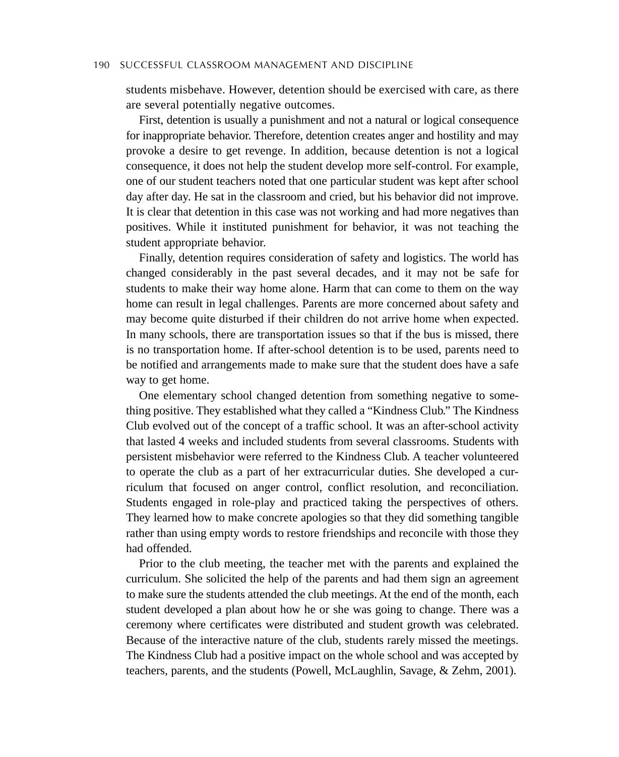students misbehave. However, detention should be exercised with care, as there are several potentially negative outcomes.

First, detention is usually a punishment and not a natural or logical consequence for inappropriate behavior. Therefore, detention creates anger and hostility and may provoke a desire to get revenge. In addition, because detention is not a logical consequence, it does not help the student develop more self-control. For example, one of our student teachers noted that one particular student was kept after school day after day. He sat in the classroom and cried, but his behavior did not improve. It is clear that detention in this case was not working and had more negatives than positives. While it instituted punishment for behavior, it was not teaching the student appropriate behavior.

Finally, detention requires consideration of safety and logistics. The world has changed considerably in the past several decades, and it may not be safe for students to make their way home alone. Harm that can come to them on the way home can result in legal challenges. Parents are more concerned about safety and may become quite disturbed if their children do not arrive home when expected. In many schools, there are transportation issues so that if the bus is missed, there is no transportation home. If after-school detention is to be used, parents need to be notified and arrangements made to make sure that the student does have a safe way to get home.

One elementary school changed detention from something negative to something positive. They established what they called a "Kindness Club." The Kindness Club evolved out of the concept of a traffic school. It was an after-school activity that lasted 4 weeks and included students from several classrooms. Students with persistent misbehavior were referred to the Kindness Club. A teacher volunteered to operate the club as a part of her extracurricular duties. She developed a curriculum that focused on anger control, conflict resolution, and reconciliation. Students engaged in role-play and practiced taking the perspectives of others. They learned how to make concrete apologies so that they did something tangible rather than using empty words to restore friendships and reconcile with those they had offended.

Prior to the club meeting, the teacher met with the parents and explained the curriculum. She solicited the help of the parents and had them sign an agreement to make sure the students attended the club meetings. At the end of the month, each student developed a plan about how he or she was going to change. There was a ceremony where certificates were distributed and student growth was celebrated. Because of the interactive nature of the club, students rarely missed the meetings. The Kindness Club had a positive impact on the whole school and was accepted by teachers, parents, and the students (Powell, McLaughlin, Savage, & Zehm, 2001).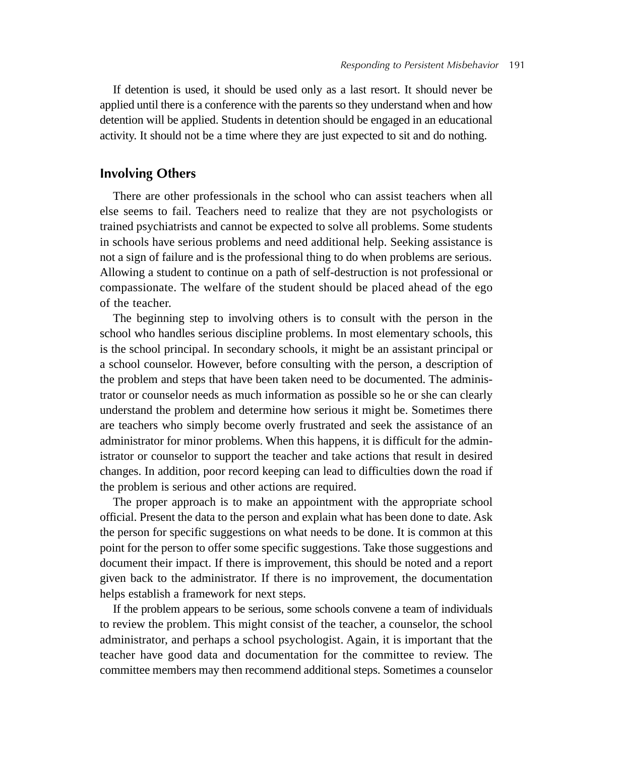If detention is used, it should be used only as a last resort. It should never be applied until there is a conference with the parents so they understand when and how detention will be applied. Students in detention should be engaged in an educational activity. It should not be a time where they are just expected to sit and do nothing.

## **Involving Others**

There are other professionals in the school who can assist teachers when all else seems to fail. Teachers need to realize that they are not psychologists or trained psychiatrists and cannot be expected to solve all problems. Some students in schools have serious problems and need additional help. Seeking assistance is not a sign of failure and is the professional thing to do when problems are serious. Allowing a student to continue on a path of self-destruction is not professional or compassionate. The welfare of the student should be placed ahead of the ego of the teacher.

The beginning step to involving others is to consult with the person in the school who handles serious discipline problems. In most elementary schools, this is the school principal. In secondary schools, it might be an assistant principal or a school counselor. However, before consulting with the person, a description of the problem and steps that have been taken need to be documented. The administrator or counselor needs as much information as possible so he or she can clearly understand the problem and determine how serious it might be. Sometimes there are teachers who simply become overly frustrated and seek the assistance of an administrator for minor problems. When this happens, it is difficult for the administrator or counselor to support the teacher and take actions that result in desired changes. In addition, poor record keeping can lead to difficulties down the road if the problem is serious and other actions are required.

The proper approach is to make an appointment with the appropriate school official. Present the data to the person and explain what has been done to date. Ask the person for specific suggestions on what needs to be done. It is common at this point for the person to offer some specific suggestions. Take those suggestions and document their impact. If there is improvement, this should be noted and a report given back to the administrator. If there is no improvement, the documentation helps establish a framework for next steps.

If the problem appears to be serious, some schools convene a team of individuals to review the problem. This might consist of the teacher, a counselor, the school administrator, and perhaps a school psychologist. Again, it is important that the teacher have good data and documentation for the committee to review. The committee members may then recommend additional steps. Sometimes a counselor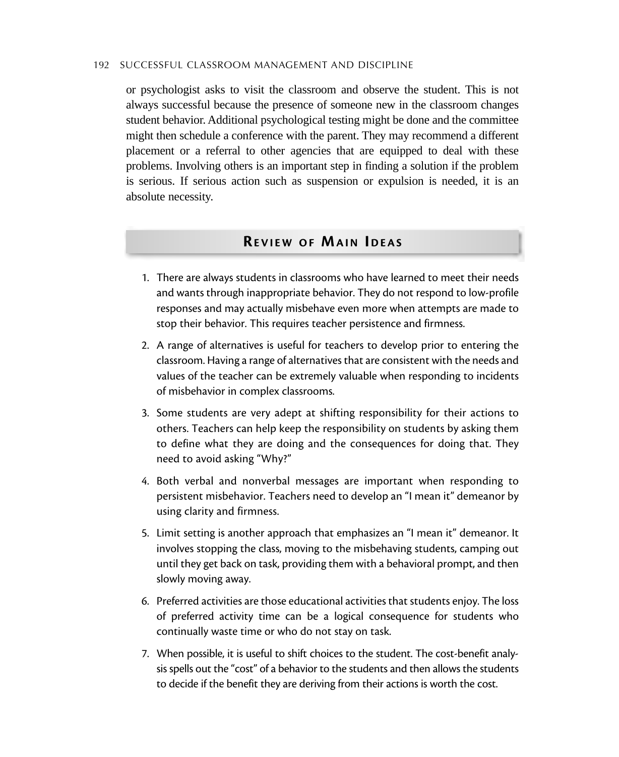or psychologist asks to visit the classroom and observe the student. This is not always successful because the presence of someone new in the classroom changes student behavior. Additional psychological testing might be done and the committee might then schedule a conference with the parent. They may recommend a different placement or a referral to other agencies that are equipped to deal with these problems. Involving others is an important step in finding a solution if the problem is serious. If serious action such as suspension or expulsion is needed, it is an absolute necessity.

## **REVIEW OF MAIN IDEAS**

- 1. There are always students in classrooms who have learned to meet their needs and wants through inappropriate behavior. They do not respond to low-profile responses and may actually misbehave even more when attempts are made to stop their behavior. This requires teacher persistence and firmness.
- 2. A range of alternatives is useful for teachers to develop prior to entering the classroom. Having a range of alternatives that are consistent with the needs and values of the teacher can be extremely valuable when responding to incidents of misbehavior in complex classrooms.
- 3. Some students are very adept at shifting responsibility for their actions to others. Teachers can help keep the responsibility on students by asking them to define what they are doing and the consequences for doing that. They need to avoid asking "Why?"
- 4. Both verbal and nonverbal messages are important when responding to persistent misbehavior. Teachers need to develop an "I mean it" demeanor by using clarity and firmness.
- 5. Limit setting is another approach that emphasizes an "I mean it" demeanor. It involves stopping the class, moving to the misbehaving students, camping out until they get back on task, providing them with a behavioral prompt, and then slowly moving away.
- 6. Preferred activities are those educational activities that students enjoy. The loss of preferred activity time can be a logical consequence for students who continually waste time or who do not stay on task.
- 7. When possible, it is useful to shift choices to the student. The cost-benefit analysis spells out the "cost" of a behavior to the students and then allows the students to decide if the benefit they are deriving from their actions is worth the cost.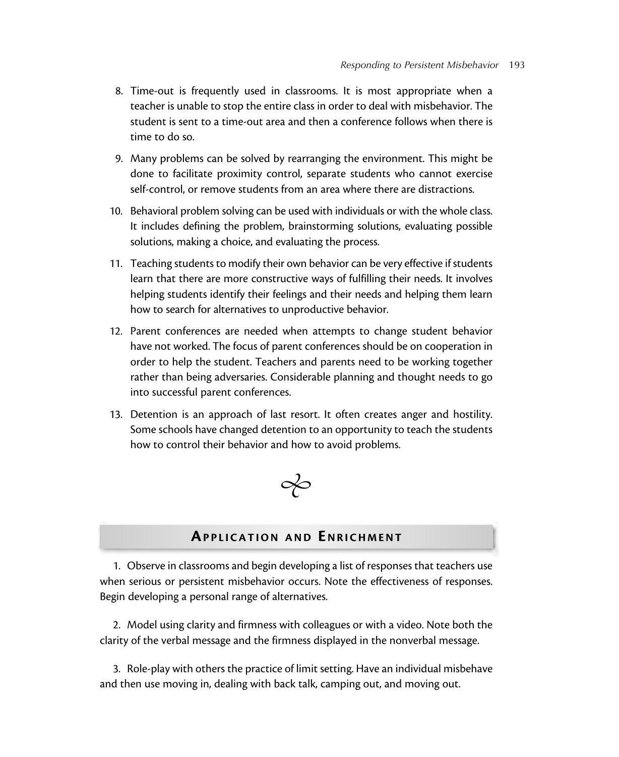- 8. Time-out is frequently used in classrooms. It is most appropriate when a teacher is unable to stop the entire class in order to deal with misbehavior. The student is sent to a time-out area and then a conference follows when there is time to do so.
- 9. Many problems can be solved by rearranging the environment. This might be done to facilitate proximity control, separate students who cannot exercise self-control, or remove students from an area where there are distractions.
- 10. Behavioral problem solving can be used with individuals or with the whole class. It includes defining the problem, brainstorming solutions, evaluating possible solutions, making a choice, and evaluating the process.
- 11. Teaching students to modify their own behavior can be very effective if students learn that there are more constructive ways of fulfilling their needs. It involves helping students identify their feelings and their needs and helping them learn how to search for alternatives to unproductive behavior.
- 12. Parent conferences are needed when attempts to change student behavior have not worked. The focus of parent conferences should be on cooperation in order to help the student. Teachers and parents need to be working together rather than being adversaries. Considerable planning and thought needs to go into successful parent conferences.
- 13. Detention is an approach of last resort. It often creates anger and hostility. Some schools have changed detention to an opportunity to teach the students how to control their behavior and how to avoid problems.



## **APPLICATION AND ENRICHMENT**

1. Observe in classrooms and begin developing a list of responses that teachers use when serious or persistent misbehavior occurs. Note the effectiveness of responses. Begin developing a personal range of alternatives.

2. Model using clarity and firmness with colleagues or with a video. Note both the clarity of the verbal message and the firmness displayed in the nonverbal message.

3. Role-play with others the practice of limit setting. Have an individual misbehave and then use moving in, dealing with back talk, camping out, and moving out.